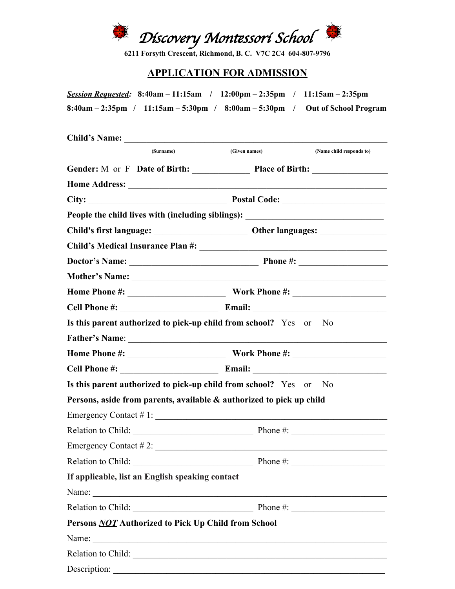

**6211 Forsyth Crescent, Richmond, B. C. V7C 2C4 604-807-9796**

## **APPLICATION FOR ADMISSION**

*Session Requested:* **8:40am – 11:15am / 12:00pm – 2:35pm / 11:15am – 2:35pm 8:40am – 2:35pm / 11:15am – 5:30pm / 8:00am – 5:30pm / Out of School Program**

| <b>Child's Name:</b>                                                 |                                   |                                                                                   |
|----------------------------------------------------------------------|-----------------------------------|-----------------------------------------------------------------------------------|
| (Surname)                                                            | (Given names)                     | (Name child responds to)                                                          |
| Gender: M or F Date of Birth: Place of Birth:                        |                                   |                                                                                   |
|                                                                      |                                   |                                                                                   |
|                                                                      |                                   |                                                                                   |
| People the child lives with (including siblings):                    |                                   | <u> 1989 - Andrea Andrew Maria (h. 1989).</u>                                     |
|                                                                      |                                   |                                                                                   |
|                                                                      |                                   |                                                                                   |
|                                                                      |                                   |                                                                                   |
|                                                                      |                                   |                                                                                   |
|                                                                      |                                   |                                                                                   |
| Cell Phone #: Email:                                                 |                                   |                                                                                   |
| Is this parent authorized to pick-up child from school? Yes or       |                                   | N <sub>0</sub>                                                                    |
|                                                                      |                                   |                                                                                   |
|                                                                      |                                   |                                                                                   |
|                                                                      |                                   |                                                                                   |
| Is this parent authorized to pick-up child from school? Yes or       |                                   | N <sub>0</sub>                                                                    |
| Persons, aside from parents, available & authorized to pick up child |                                   |                                                                                   |
| Emergency Contact # 1:                                               |                                   |                                                                                   |
|                                                                      |                                   |                                                                                   |
|                                                                      |                                   |                                                                                   |
| Relation to Child:                                                   | $\overline{\phantom{a}}$ Phone #: | $\frac{1}{\sqrt{1-\frac{1}{2}}}\left( \frac{1}{\sqrt{1-\frac{1}{2}}}\right) ^{2}$ |
| If applicable, list an English speaking contact                      |                                   |                                                                                   |
| Name:                                                                |                                   |                                                                                   |
|                                                                      |                                   |                                                                                   |
| Persons <b>NOT</b> Authorized to Pick Up Child from School           |                                   |                                                                                   |
|                                                                      |                                   |                                                                                   |
| Relation to Child:                                                   |                                   |                                                                                   |
| Description:                                                         |                                   |                                                                                   |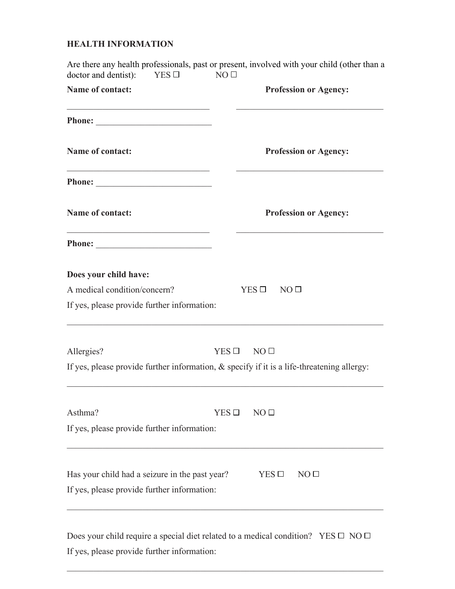## **HEALTH INFORMATION**

| doctor and dentist):<br>$YES \Box$                                                                                             | Are there any health professionals, past or present, involved with your child (other than a<br>NO <sub>0</sub> |  |
|--------------------------------------------------------------------------------------------------------------------------------|----------------------------------------------------------------------------------------------------------------|--|
| Name of contact:                                                                                                               | <b>Profession or Agency:</b>                                                                                   |  |
|                                                                                                                                |                                                                                                                |  |
| <b>Name of contact:</b>                                                                                                        | <b>Profession or Agency:</b>                                                                                   |  |
|                                                                                                                                |                                                                                                                |  |
| Name of contact:                                                                                                               | <b>Profession or Agency:</b>                                                                                   |  |
| <u> 1989 - Johann Barn, mars ann an t-Amhain Aonaich an t-Aonaich an t-Aonaich ann an t-Aonaich ann an t-Aonaich</u><br>Phone: |                                                                                                                |  |
| Does your child have:                                                                                                          |                                                                                                                |  |
| A medical condition/concern?                                                                                                   | $YES \Box NO \Box$                                                                                             |  |
| If yes, please provide further information:                                                                                    |                                                                                                                |  |
| Allergies?                                                                                                                     | $YES \Box NO \Box$                                                                                             |  |
|                                                                                                                                | If yes, please provide further information, $\&$ specify if it is a life-threatening allergy:                  |  |
| Asthma?                                                                                                                        | $YES$ $\square$<br>NO <sub>0</sub>                                                                             |  |
| If yes, please provide further information:                                                                                    |                                                                                                                |  |
| Has your child had a seizure in the past year?                                                                                 | $YES$ $\square$<br>NO <sub>0</sub>                                                                             |  |
| If yes, please provide further information:                                                                                    |                                                                                                                |  |
|                                                                                                                                |                                                                                                                |  |

Does your child require a special diet related to a medical condition? YES  $\Box$  NO  $\Box$ If yes, please provide further information:

 $\mathcal{L}_\mathcal{L} = \mathcal{L}_\mathcal{L} = \mathcal{L}_\mathcal{L} = \mathcal{L}_\mathcal{L} = \mathcal{L}_\mathcal{L} = \mathcal{L}_\mathcal{L} = \mathcal{L}_\mathcal{L} = \mathcal{L}_\mathcal{L} = \mathcal{L}_\mathcal{L} = \mathcal{L}_\mathcal{L} = \mathcal{L}_\mathcal{L} = \mathcal{L}_\mathcal{L} = \mathcal{L}_\mathcal{L} = \mathcal{L}_\mathcal{L} = \mathcal{L}_\mathcal{L} = \mathcal{L}_\mathcal{L} = \mathcal{L}_\mathcal{L}$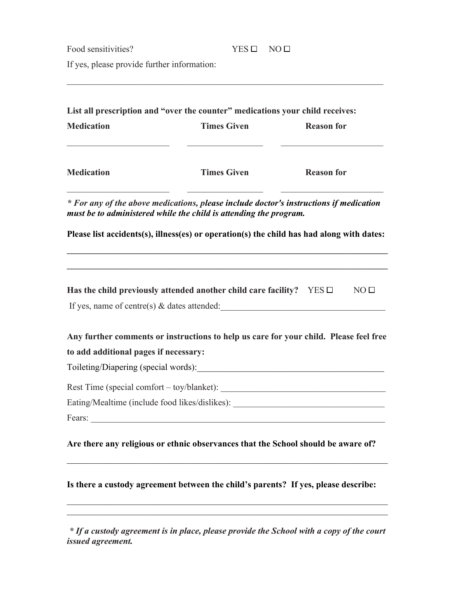Food sensitivities?  $YES \Box NO \Box$ 

 $\mathcal{L}_\mathcal{L} = \mathcal{L}_\mathcal{L} = \mathcal{L}_\mathcal{L} = \mathcal{L}_\mathcal{L} = \mathcal{L}_\mathcal{L} = \mathcal{L}_\mathcal{L} = \mathcal{L}_\mathcal{L} = \mathcal{L}_\mathcal{L} = \mathcal{L}_\mathcal{L} = \mathcal{L}_\mathcal{L} = \mathcal{L}_\mathcal{L} = \mathcal{L}_\mathcal{L} = \mathcal{L}_\mathcal{L} = \mathcal{L}_\mathcal{L} = \mathcal{L}_\mathcal{L} = \mathcal{L}_\mathcal{L} = \mathcal{L}_\mathcal{L}$ 

If yes, please provide further information:

| <b>Medication</b>                     | List all prescription and "over the counter" medications your child receives:<br><b>Times Given</b>                                                         | <b>Reason for</b> |
|---------------------------------------|-------------------------------------------------------------------------------------------------------------------------------------------------------------|-------------------|
| <b>Medication</b>                     | <b>Times Given</b>                                                                                                                                          | <b>Reason for</b> |
|                                       | * For any of the above medications, please include doctor's instructions if medication<br>must be to administered while the child is attending the program. |                   |
|                                       | Please list accidents(s), illness(es) or operation(s) the child has had along with dates:                                                                   |                   |
|                                       | Has the child previously attended another child care facility? $YES \Box$<br>If yes, name of centre(s) $\&$ dates attended:                                 | NO <sub>1</sub>   |
|                                       | Any further comments or instructions to help us care for your child. Please feel free                                                                       |                   |
| to add additional pages if necessary: |                                                                                                                                                             |                   |
|                                       |                                                                                                                                                             |                   |
|                                       |                                                                                                                                                             |                   |
|                                       | Eating/Mealtime (include food likes/dislikes): _________________________________                                                                            |                   |
| Fears:                                |                                                                                                                                                             |                   |
|                                       | Are there any religious or ethnic observances that the School should be aware of?                                                                           |                   |
|                                       | Is there a custody agreement between the child's parents? If yes, please describe:                                                                          |                   |
|                                       |                                                                                                                                                             |                   |

*\* If a custody agreement is in place, please provide the School with a copy of the court issued agreement.*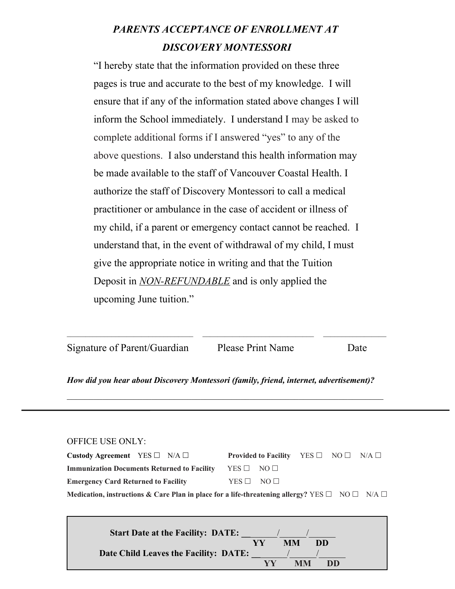## *PARENTS ACCEPTANCE OF ENROLLMENT AT DISCOVERY MONTESSORI*

"I hereby state that the information provided on these three pages is true and accurate to the best of my knowledge. I will ensure that if any of the information stated above changes I will inform the School immediately. I understand I may be asked to complete additional forms if I answered "yes" to any of the above questions. I also understand this health information may be made available to the staff of Vancouver Coastal Health. I authorize the staff of Discovery Montessori to call a medical practitioner or ambulance in the case of accident or illness of my child, if a parent or emergency contact cannot be reached. I understand that, in the event of withdrawal of my child, I must give the appropriate notice in writing and that the Tuition Deposit in *NON-REFUNDABLE* and is only applied the upcoming June tuition."

Signature of Parent/Guardian Please Print Name Date

*How did you hear about Discovery Montessori (family, friend, internet, advertisement)?*

 $\mathcal{L}_\text{max}$  , and the contribution of the contribution of the contribution of the contribution of the contribution of the contribution of the contribution of the contribution of the contribution of the contribution of t

| <b>OFFICE USE ONLY:</b> |
|-------------------------|
|-------------------------|

| Custody Agreement YES $\square$ N/A $\square$                                                                          | <b>Provided to Facility</b> YES $\Box$ NO $\Box$ N/A $\Box$ |  |  |
|------------------------------------------------------------------------------------------------------------------------|-------------------------------------------------------------|--|--|
| <b>Immunization Documents Returned to Facility</b>                                                                     | $YES \Box NO \Box$                                          |  |  |
| <b>Emergency Card Returned to Facility</b>                                                                             | $YES \Box NO \Box$                                          |  |  |
| Medication, instructions & Care Plan in place for a life-threatening allergy? YES $\square$ NO $\square$ N/A $\square$ |                                                             |  |  |

| <b>Start Date at the Facility: DATE:</b> |    |    |    |
|------------------------------------------|----|----|----|
|                                          | VV | MМ | DD |
| Date Child Leaves the Facility: DATE:    |    |    |    |
|                                          | VV | MM | DD |